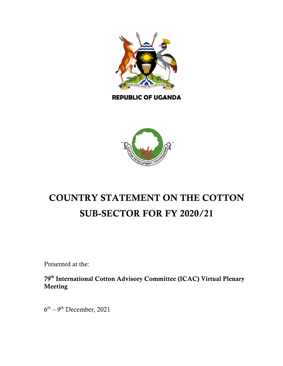

**REPUBLIC OF UGANDA**



# SUB-SECTOR FOR FY 2020/21 COUNTRY STATEMENT ON THE COTTON

Presented at the:

79<sup>th</sup> International Cotton Advisory Committee (ICAC) Virtual Plenary<br>Masting Meeting

 $6<sup>th</sup> - 9<sup>th</sup> December, 2021$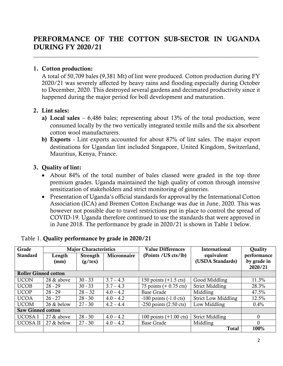## PERFORMANCE OF THE COTTON SUB-SECTOR IN UGANDA DURING FY 2020/21

 $\mathcal{L}_\text{max}$  , and the contribution of the contribution of the contribution of the contribution of the contribution

#### 1. Cotton production:

A total of 50,709 bales (9,381 Mt) of lint were produced. Cotton production during FY 2020/21 was severely affected by heavy rains and flooding especially during October to December, 2020. This destroyed several gardens and decimated productivity since it happened during the major period for boll development and maturation.

#### 2. Lint sales:

- a) Local sales  $-6,486$  bales; representing about 13% of the total production, were consumed locally by the two vertically integrated textile mills and the six absorbent cotton wool manufacturers.
- b) Exports Lint exports accounted for about 87% of lint sales. The major export destinations for Ugandan lint included Singapore, United Kingdom, Switzerland, Mauritius, Kenya, France.

### 3. Quality of lint:

- About 84% of the total number of bales classed were graded in the top three premium grades. Uganda maintained the high quality of cotton through intensive sensitization of stakeholders and strict monitoring of ginneries.
- Presentation of Uganda's official standards for approval by the International Cotton Association (ICA) and Bremen Cotton Exchange was due in June, 2020. This was however not possible due to travel restrictions put in place to control the spread of COVID-19. Uganda therefore continued to use the standards that were approved in in June 2018. The performance by grade in 2020/21 is shown in Table 1 below.

| Grade                       | <b>Major Characteristics</b> |                  |             | <b>Value Differences</b>           | <b>International</b>       | <b>Ouality</b> |
|-----------------------------|------------------------------|------------------|-------------|------------------------------------|----------------------------|----------------|
| <b>Standard</b>             | Length                       | <b>Strength</b>  | Micronnaire | (Points / US cts/lb)               | equivalent                 | performance    |
|                             | (mm)                         | $(g/\text{tex})$ |             |                                    | (USDA Standards)           | by grade in    |
|                             |                              |                  |             |                                    |                            | 2020/21        |
| <b>Roller Ginned cotton</b> |                              |                  |             |                                    |                            |                |
| <b>UCON</b>                 | 28 & above                   | $30 - 33$        | $3.7 - 4.3$ | 150 points $(+1.5 \text{ cts})$    | Good Middling              | 11.3%          |
| <b>UCOB</b>                 | $28 - 29$                    | $30 - 33$        | $3.7 - 4.3$ | 75 points $(+ 0.75 \text{ cts})$   | <b>Strict Middling</b>     | 28.3%          |
| <b>UCOP</b>                 | $28 - 29$                    | $28 - 32$        | $4.0 - 4.2$ | <b>Base Grade</b>                  | Middling                   | 47.5%          |
| <b>UCOA</b>                 | $26 - 27$                    | $28 - 30$        | $4.0 - 4.2$ | $-100$ points $(-1.0 \text{ cts})$ | <b>Strict Low Middling</b> | 12.5%          |
| <b>UCOM</b>                 | 26 & below                   | $27 - 30$        | $4.2 - 4.4$ | $-250$ points $(2.50 \text{ cts})$ | Low Middling               | $0.4\%$        |
| <b>Saw Ginned cotton</b>    |                              |                  |             |                                    |                            |                |
| UCOSA I                     | 27 & above                   | $28 - 30$        | $4.0 - 4.2$ | 100 points $(+1.00 \text{ cts})$   | <b>Strict Middling</b>     | $\Omega$       |
| UCOSA II                    | 27 & below                   | $27 - 30$        | $4.0 - 4.2$ | <b>Base Grade</b>                  | Middling                   | 0              |
|                             |                              |                  |             |                                    | <b>Total</b>               | 100%           |

#### Table 1. Quality performance by grade in 2020/21